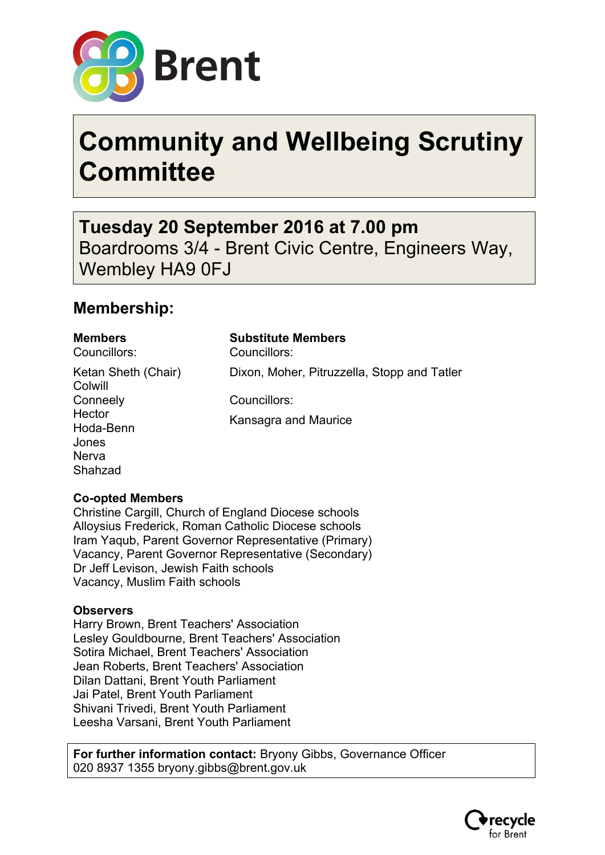

# **Community and Wellbeing Scrutiny Committee**

**Tuesday 20 September 2016 at 7.00 pm** Boardrooms 3/4 - Brent Civic Centre, Engineers Way, Wembley HA9 0FJ

### **Membership:**

Councillors: Councillors:

Ketan Sheth (Chair) **Colwill Conneely Hector** Hoda-Benn Jones Nerva Shahzad

**Members Substitute Members**

Dixon, Moher, Pitruzzella, Stopp and Tatler

Councillors:

Kansagra and Maurice

#### **Co-opted Members**

Christine Cargill, Church of England Diocese schools Alloysius Frederick, Roman Catholic Diocese schools Iram Yaqub, Parent Governor Representative (Primary) Vacancy, Parent Governor Representative (Secondary) Dr Jeff Levison, Jewish Faith schools Vacancy, Muslim Faith schools

#### **Observers**

Harry Brown, Brent Teachers' Association Lesley Gouldbourne, Brent Teachers' Association Sotira Michael, Brent Teachers' Association Jean Roberts, Brent Teachers' Association Dilan Dattani, Brent Youth Parliament Jai Patel, Brent Youth Parliament Shivani Trivedi, Brent Youth Parliament Leesha Varsani, Brent Youth Parliament

**For further information contact:** Bryony Gibbs, Governance Officer 020 8937 1355 bryony.gibbs@brent.gov.uk

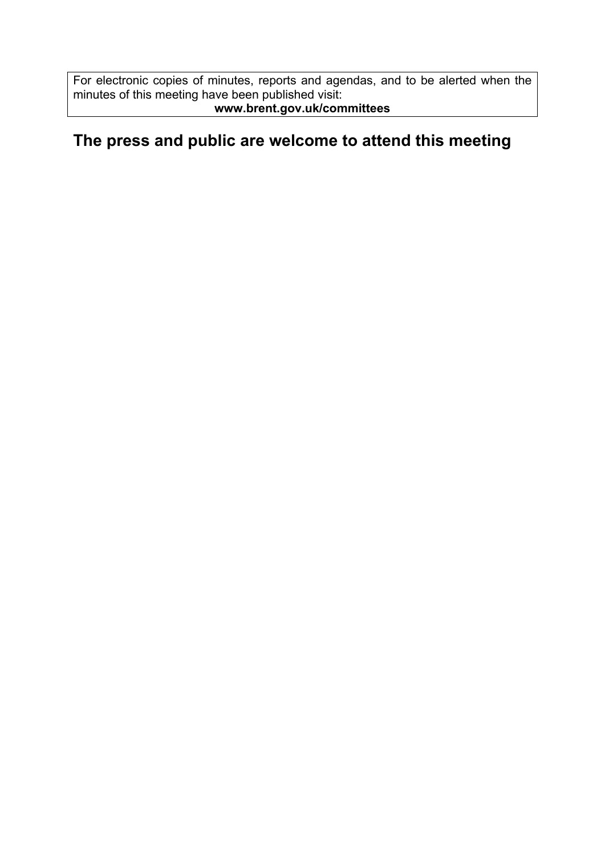For electronic copies of minutes, reports and agendas, and to be alerted when the minutes of this meeting have been published visit: **www.brent.gov.uk/committees**

#### **The press and public are welcome to attend this meeting**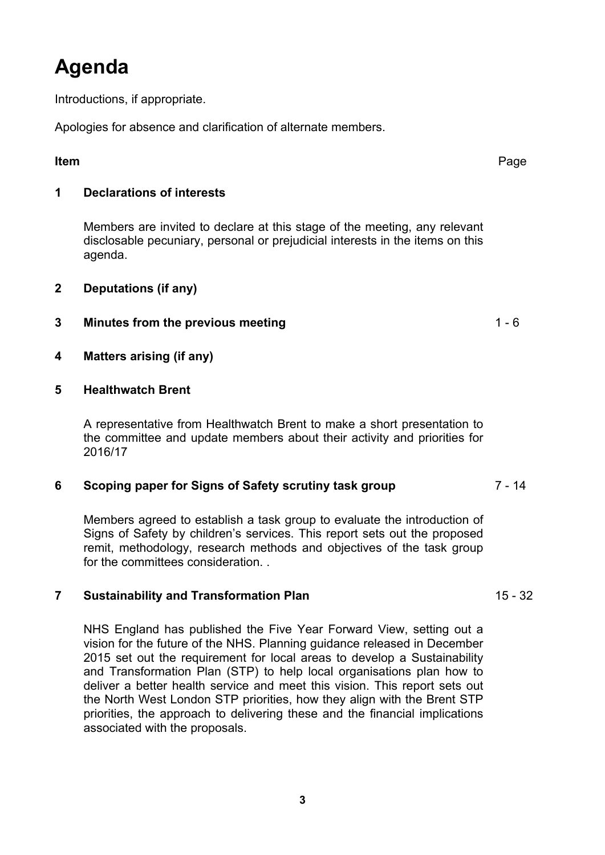## **Agenda**

Introductions, if appropriate.

Apologies for absence and clarification of alternate members.

#### **Item** Page

#### **1 Declarations of interests**

Members are invited to declare at this stage of the meeting, any relevant disclosable pecuniary, personal or prejudicial interests in the items on this agenda.

**2 Deputations (if any)**

#### **3 Minutes from the previous meeting** 1 - 6

- **4 Matters arising (if any)**
- **5 Healthwatch Brent**

A representative from Healthwatch Brent to make a short presentation to the committee and update members about their activity and priorities for 2016/17

#### **6 Scoping paper for Signs of Safety scrutiny task group** 7 - 14

Members agreed to establish a task group to evaluate the introduction of Signs of Safety by children's services. This report sets out the proposed remit, methodology, research methods and objectives of the task group for the committees consideration. .

#### **7 Sustainability and Transformation Plan** 15 - 32

NHS England has published the Five Year Forward View, setting out a vision for the future of the NHS. Planning guidance released in December 2015 set out the requirement for local areas to develop a Sustainability and Transformation Plan (STP) to help local organisations plan how to deliver a better health service and meet this vision. This report sets out the North West London STP priorities, how they align with the Brent STP priorities, the approach to delivering these and the financial implications associated with the proposals.